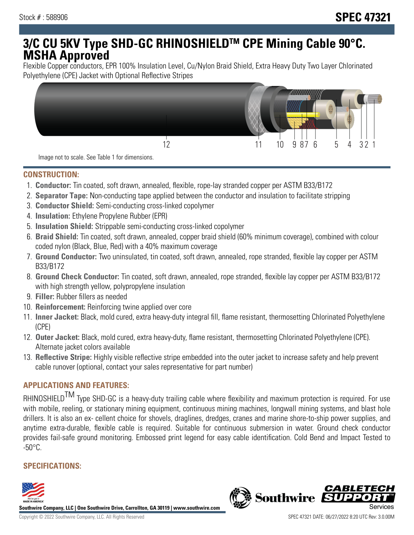# **3/C CU 5KV Type SHD-GC RHINOSHIELDTM CPE Mining Cable 90°C. MSHA Approved**

Flexible Copper conductors, EPR 100% Insulation Level, Cu/Nylon Braid Shield, Extra Heavy Duty Two Layer Chlorinated Polyethylene (CPE) Jacket with Optional Reflective Stripes



Image not to scale. See Table 1 for dimensions.

#### **CONSTRUCTION:**

- 1. **Conductor:** Tin coated, soft drawn, annealed, flexible, rope-lay stranded copper per ASTM B33/B172
- 2. **Separator Tape:** Non-conducting tape applied between the conductor and insulation to facilitate stripping
- 3. **Conductor Shield:** Semi-conducting cross-linked copolymer
- 4. **Insulation:** Ethylene Propylene Rubber (EPR)
- 5. **Insulation Shield:** Strippable semi-conducting cross-linked copolymer
- 6. **Braid Shield:** Tin coated, soft drawn, annealed, copper braid shield (60% minimum coverage), combined with colour coded nylon (Black, Blue, Red) with a 40% maximum coverage
- 7. **Ground Conductor:** Two uninsulated, tin coated, soft drawn, annealed, rope stranded, flexible lay copper per ASTM B33/B172
- 8. **Ground Check Conductor:** Tin coated, soft drawn, annealed, rope stranded, flexible lay copper per ASTM B33/B172 with high strength yellow, polypropylene insulation
- 9. **Filler:** Rubber fillers as needed
- 10. **Reinforcement:** Reinforcing twine applied over core
- 11. **Inner Jacket:** Black, mold cured, extra heavy-duty integral fill, flame resistant, thermosetting Chlorinated Polyethylene (CPE)
- 12. **Outer Jacket:** Black, mold cured, extra heavy-duty, flame resistant, thermosetting Chlorinated Polyethylene (CPE). Alternate jacket colors available
- 13. **Reflective Stripe:** Highly visible reflective stripe embedded into the outer jacket to increase safety and help prevent cable runover (optional, contact your sales representative for part number)

## **APPLICATIONS AND FEATURES:**

RHINOSHIELD<sup>TM</sup> Type SHD-GC is a heavy-duty trailing cable where flexibility and maximum protection is required. For use with mobile, reeling, or stationary mining equipment, continuous mining machines, longwall mining systems, and blast hole drillers. It is also an ex- cellent choice for shovels, draglines, dredges, cranes and marine shore-to-ship power supplies, and anytime extra-durable, flexible cable is required. Suitable for continuous submersion in water. Ground check conductor provides fail-safe ground monitoring. Embossed print legend for easy cable identification. Cold Bend and Impact Tested to  $-50^{\circ}$ C.

# **SPECIFICATIONS:**



**Southwire Company, LLC | One Southwire Drive, Carrollton, GA 30119 | www.southwire.com**

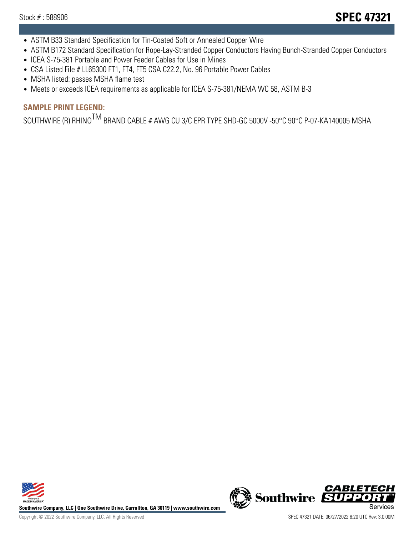- ASTM B33 Standard Specification for Tin-Coated Soft or Annealed Copper Wire
- ASTM B172 Standard Specification for Rope-Lay-Stranded Copper Conductors Having Bunch-Stranded Copper Conductors
- ICEA S-75-381 Portable and Power Feeder Cables for Use in Mines
- CSA Listed File # LL65300 FT1, FT4, FT5 CSA C22.2, No. 96 Portable Power Cables
- MSHA listed: passes MSHA flame test
- Meets or exceeds ICEA requirements as applicable for ICEA S-75-381/NEMA WC 58, ASTM B-3

# **SAMPLE PRINT LEGEND:**

SOUTHWIRE (R) RHINO<sup>TM</sup> BRAND CABLE # AWG CU 3/C EPR TYPE SHD-GC 5000V -50°C 90°C P-07-KA140005 MSHA